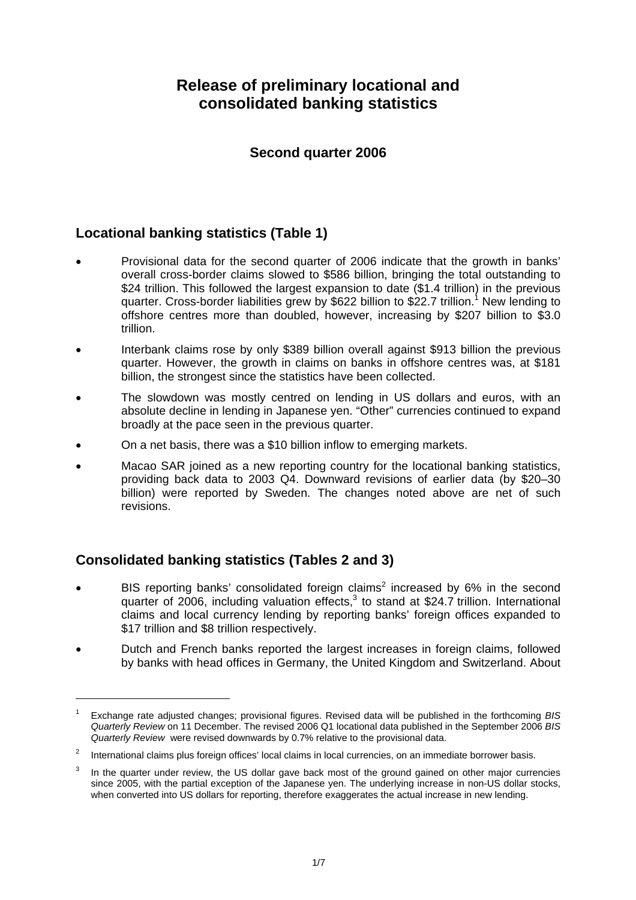# **Release of preliminary locational and consolidated banking statistics**

### **Second quarter 2006**

## **Locational banking statistics (Table 1)**

- Provisional data for the second quarter of 2006 indicate that the growth in banks' overall cross-border claims slowed to \$586 billion, bringing the total outstanding to \$24 trillion. This followed the largest expansion to date (\$1.4 trillion) in the previous quarter. Cross-border liabilities grew by \$622 billion to \$22.7 trillion.<sup>1</sup> New lending to offshore centres more than doubled, however, increasing by \$207 billion to \$3.0 trillion.
- Interbank claims rose by only \$389 billion overall against \$913 billion the previous quarter. However, the growth in claims on banks in offshore centres was, at \$181 billion, the strongest since the statistics have been collected.
- The slowdown was mostly centred on lending in US dollars and euros, with an absolute decline in lending in Japanese yen. "Other" currencies continued to expand broadly at the pace seen in the previous quarter.
- On a net basis, there was a \$10 billion inflow to emerging markets.
- Macao SAR joined as a new reporting country for the locational banking statistics, providing back data to 2003 Q4. Downward revisions of earlier data (by \$20–30 billion) were reported by Sweden. The changes noted above are net of such revisions.

# **Consolidated banking statistics (Tables 2 and 3)**

l

- BIS reporting banks' consolidated foreign claims<sup>2</sup> increased by 6% in the second quarter of 2006, including valuation effects, $3$  to stand at \$24.7 trillion. International claims and local currency lending by reporting banks' foreign offices expanded to \$17 trillion and \$8 trillion respectively.
- Dutch and French banks reported the largest increases in foreign claims, followed by banks with head offices in Germany, the United Kingdom and Switzerland. About

<sup>1</sup> Exchange rate adjusted changes; provisional figures. Revised data will be published in the forthcoming *BIS Quarterly Review* on 11 December. The revised 2006 Q1 locational data published in the September 2006 *BIS Quarterly Review* were revised downwards by 0.7% relative to the provisional data.

<sup>2</sup> International claims plus foreign offices' local claims in local currencies, on an immediate borrower basis.

<sup>3</sup> In the quarter under review, the US dollar gave back most of the ground gained on other major currencies since 2005, with the partial exception of the Japanese yen. The underlying increase in non-US dollar stocks, when converted into US dollars for reporting, therefore exaggerates the actual increase in new lending.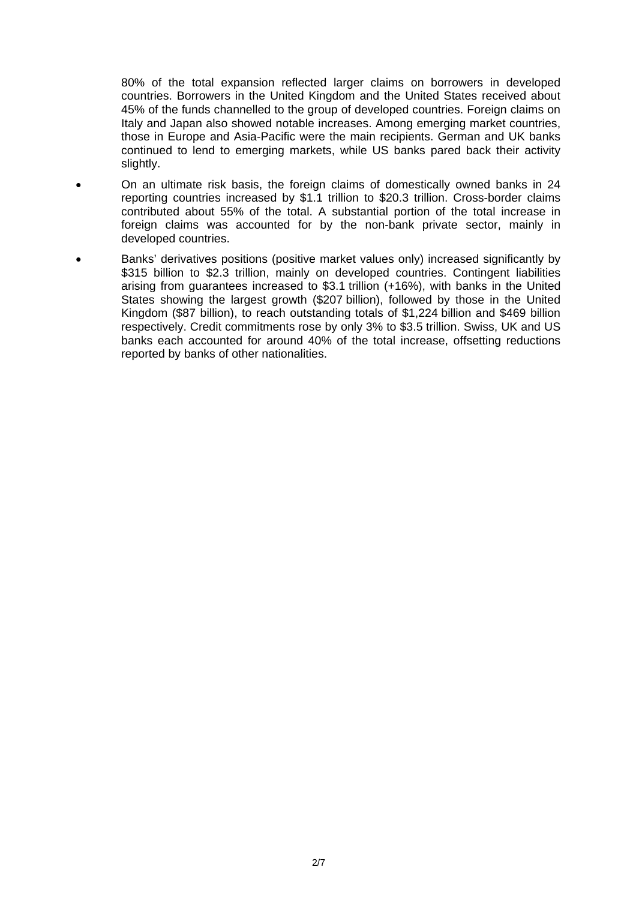80% of the total expansion reflected larger claims on borrowers in developed countries. Borrowers in the United Kingdom and the United States received about 45% of the funds channelled to the group of developed countries. Foreign claims on Italy and Japan also showed notable increases. Among emerging market countries, those in Europe and Asia-Pacific were the main recipients. German and UK banks continued to lend to emerging markets, while US banks pared back their activity slightly.

- On an ultimate risk basis, the foreign claims of domestically owned banks in 24 reporting countries increased by \$1.1 trillion to \$20.3 trillion. Cross-border claims contributed about 55% of the total. A substantial portion of the total increase in foreign claims was accounted for by the non-bank private sector, mainly in developed countries.
- Banks' derivatives positions (positive market values only) increased significantly by \$315 billion to \$2.3 trillion, mainly on developed countries. Contingent liabilities arising from guarantees increased to \$3.1 trillion (+16%), with banks in the United States showing the largest growth (\$207 billion), followed by those in the United Kingdom (\$87 billion), to reach outstanding totals of \$1,224 billion and \$469 billion respectively. Credit commitments rose by only 3% to \$3.5 trillion. Swiss, UK and US banks each accounted for around 40% of the total increase, offsetting reductions reported by banks of other nationalities.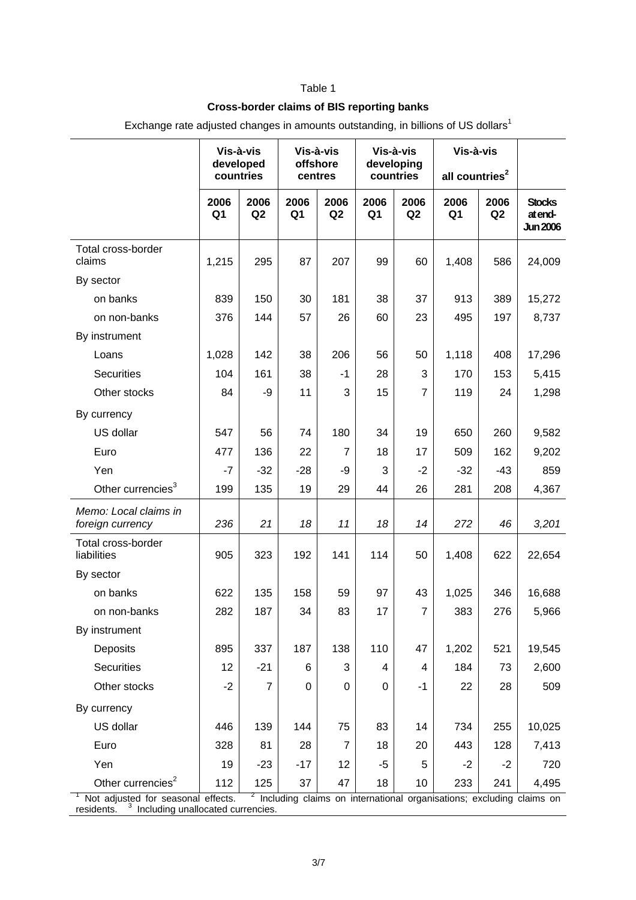### Table 1

#### **Cross-border claims of BIS reporting banks**

| Vis-à-vis<br>Vis-à-vis<br>Vis-à-vis                                                                                                                                                     | Vis-à-vis                  |            |                                             |
|-----------------------------------------------------------------------------------------------------------------------------------------------------------------------------------------|----------------------------|------------|---------------------------------------------|
| developed<br>offshore<br>developing<br>countries<br>countries<br>centres                                                                                                                | all countries <sup>2</sup> |            |                                             |
| 2006<br>2006<br>2006<br>2006<br>2006<br>2006<br>Q2<br>Q <sub>1</sub><br>Q <sub>2</sub><br>Q <sub>1</sub><br>Q <sub>1</sub><br>Q <sub>2</sub>                                            | 2006<br>Q <sub>1</sub>     | 2006<br>Q2 | <b>Stocks</b><br>at end-<br><b>Jun 2006</b> |
| Total cross-border<br>1,215<br>295<br>87<br>207<br>99<br>claims<br>60                                                                                                                   | 1,408                      | 586        | 24,009                                      |
| By sector                                                                                                                                                                               |                            |            |                                             |
| on banks<br>839<br>150<br>30<br>181<br>38<br>37                                                                                                                                         | 913                        | 389        | 15,272                                      |
| 376<br>57<br>60<br>23<br>on non-banks<br>144<br>26                                                                                                                                      | 495                        | 197        | 8,737                                       |
| By instrument                                                                                                                                                                           |                            |            |                                             |
| 38<br>206<br>Loans<br>1,028<br>142<br>56<br>50                                                                                                                                          | 1,118                      | 408        | 17,296                                      |
| <b>Securities</b><br>104<br>161<br>38<br>28<br>3<br>$-1$                                                                                                                                | 170                        | 153        | 5,415                                       |
| 11<br>Other stocks<br>84<br>3<br>15<br>$\overline{7}$<br>-9                                                                                                                             | 119                        | 24         | 1,298                                       |
| By currency                                                                                                                                                                             |                            |            |                                             |
| US dollar<br>547<br>56<br>74<br>180<br>34<br>19                                                                                                                                         | 650                        | 260        | 9,582                                       |
| 477<br>17<br>Euro<br>136<br>22<br>7<br>18                                                                                                                                               | 509                        | 162        | 9,202                                       |
| Yen<br>$-32$<br>3<br>$-2$<br>$-7$<br>$-28$<br>-9                                                                                                                                        | $-32$                      | -43        | 859                                         |
| Other currencies <sup>3</sup><br>135<br>19<br>29<br>44<br>26<br>199                                                                                                                     | 281                        | 208        | 4,367                                       |
| Memo: Local claims in<br>21<br>236<br>18<br>11<br>18<br>14<br>foreign currency                                                                                                          | 272                        | 46         | 3,201                                       |
| Total cross-border<br>905<br>323<br>192<br>141<br>114<br>50<br>liabilities                                                                                                              | 1,408                      | 622        | 22,654                                      |
| By sector                                                                                                                                                                               |                            |            |                                             |
| 622<br>135<br>59<br>97<br>on banks<br>158<br>43                                                                                                                                         | 1,025                      | 346        | 16,688                                      |
| 282<br>187<br>34<br>83<br>17<br>on non-banks<br>7                                                                                                                                       | 383                        | 276        | 5,966                                       |
| By instrument                                                                                                                                                                           |                            |            |                                             |
| 337<br>138<br>110<br>Deposits<br>895<br>187<br>47                                                                                                                                       | 1,202                      | 521        | 19,545                                      |
| Securities<br>12<br>$-21$<br>3<br>6<br>4<br>4                                                                                                                                           | 184                        | 73         | 2,600                                       |
| Other stocks<br>$-2$<br>$\overline{7}$<br>0<br>$\Omega$<br>0<br>-1                                                                                                                      | 22                         | 28         | 509                                         |
| By currency                                                                                                                                                                             |                            |            |                                             |
| US dollar<br>139<br>144<br>83<br>446<br>75<br>14                                                                                                                                        | 734                        | 255        | 10,025                                      |
| Euro<br>328<br>81<br>28<br>7<br>18<br>20                                                                                                                                                | 443                        | 128        | 7,413                                       |
| Yen<br>19<br>$-17$<br>12<br>5<br>$-23$<br>$-5$                                                                                                                                          | $-2$                       | $-2$       | 720                                         |
| Other currencies <sup>2</sup><br>47<br>125<br>37<br>18<br>10<br>112                                                                                                                     | 233                        | 241        | 4,495                                       |
| <sup>2</sup> Including claims on international organisations; excluding claims on<br>Not adjusted for seasonal effects.<br><sup>3</sup> Including unallocated currencies.<br>residents. |                            |            |                                             |

Exchange rate adjusted changes in amounts outstanding, in billions of US dollars<sup>1</sup>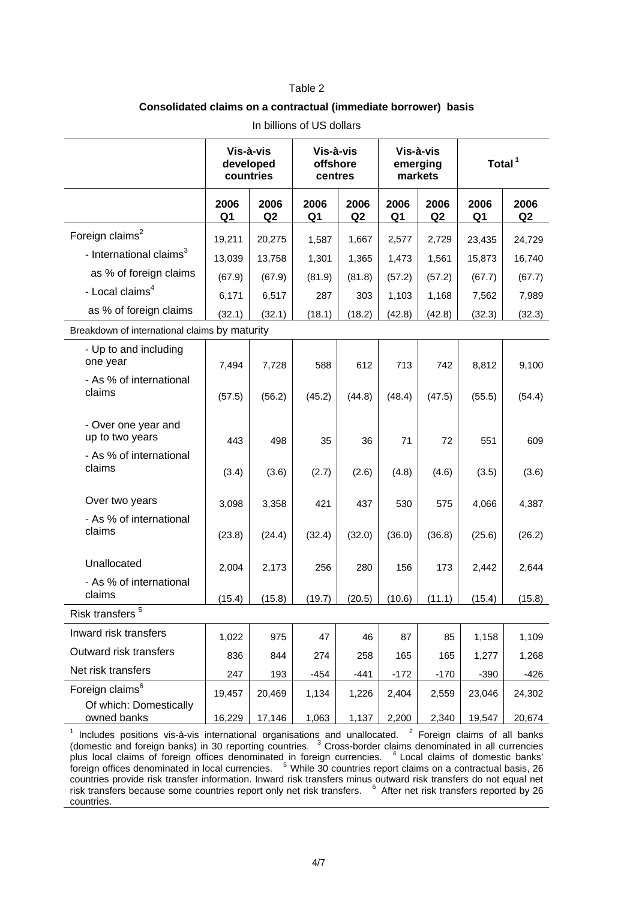#### Table 2

#### **Consolidated claims on a contractual (immediate borrower) basis**

|                                                       | Vis-à-vis<br>developed<br>countries |                        | Vis-à-vis<br>offshore<br>centres |                        | Vis-à-vis<br>emerging<br>markets |                        | Total $1$              |            |
|-------------------------------------------------------|-------------------------------------|------------------------|----------------------------------|------------------------|----------------------------------|------------------------|------------------------|------------|
|                                                       | 2006<br>Q <sub>1</sub>              | 2006<br>Q <sub>2</sub> | 2006<br>Q <sub>1</sub>           | 2006<br>Q <sub>2</sub> | 2006<br>Q <sub>1</sub>           | 2006<br>Q <sub>2</sub> | 2006<br>Q <sub>1</sub> | 2006<br>Q2 |
| Foreign claims <sup>2</sup>                           | 19,211                              | 20,275                 | 1,587                            | 1,667                  | 2,577                            | 2,729                  | 23,435                 | 24,729     |
| - International claims <sup>3</sup>                   | 13,039                              | 13,758                 | 1,301                            | 1,365                  | 1,473                            | 1,561                  | 15,873                 | 16,740     |
| as % of foreign claims                                | (67.9)                              | (67.9)                 | (81.9)                           | (81.8)                 | (57.2)                           | (57.2)                 | (67.7)                 | (67.7)     |
| - Local claims <sup>4</sup>                           | 6,171                               | 6,517                  | 287                              | 303                    | 1,103                            | 1,168                  | 7,562                  | 7,989      |
| as % of foreign claims                                | (32.1)                              | (32.1)                 | (18.1)                           | (18.2)                 | (42.8)                           | (42.8)                 | (32.3)                 | (32.3)     |
| Breakdown of international claims by maturity         |                                     |                        |                                  |                        |                                  |                        |                        |            |
| - Up to and including<br>one year                     | 7,494                               | 7,728                  | 588                              | 612                    | 713                              | 742                    | 8,812                  | 9,100      |
| - As % of international<br>claims                     | (57.5)                              | (56.2)                 | (45.2)                           | (44.8)                 | (48.4)                           | (47.5)                 | (55.5)                 | (54.4)     |
| - Over one year and<br>up to two years                | 443                                 | 498                    | 35                               | 36                     | 71                               | 72                     | 551                    | 609        |
| - As % of international<br>claims                     | (3.4)                               | (3.6)                  | (2.7)                            | (2.6)                  | (4.8)                            | (4.6)                  | (3.5)                  | (3.6)      |
| Over two years                                        | 3,098                               | 3,358                  | 421                              | 437                    | 530                              | 575                    | 4,066                  | 4,387      |
| - As % of international<br>claims                     | (23.8)                              | (24.4)                 | (32.4)                           | (32.0)                 | (36.0)                           | (36.8)                 | (25.6)                 | (26.2)     |
| Unallocated                                           | 2,004                               | 2,173                  | 256                              | 280                    | 156                              | 173                    | 2,442                  | 2,644      |
| - As % of international<br>claims                     | (15.4)                              | (15.8)                 | (19.7)                           | (20.5)                 | (10.6)                           | (11.1)                 | (15.4)                 | (15.8)     |
| 5<br>Risk transfers                                   |                                     |                        |                                  |                        |                                  |                        |                        |            |
| Inward risk transfers                                 | 1,022                               | 975                    | 47                               | 46                     | 87                               | 85                     | 1,158                  | 1,109      |
| Outward risk transfers                                | 836                                 | 844                    | 274                              | 258                    | 165                              | 165                    | 1,277                  | 1,268      |
| Net risk transfers                                    | 247                                 | 193                    | $-454$                           | $-441$                 | $-172$                           | $-170$                 | $-390$                 | $-426$     |
| Foreign claims <sup>6</sup><br>Of which: Domestically | 19,457                              | 20,469                 | 1,134                            | 1,226                  | 2,404                            | 2,559                  | 23,046                 | 24,302     |
| owned banks                                           | 16,229                              | 17,146                 | 1,063                            | 1,137                  | 2,200                            | 2,340                  | 19,547                 | 20,674     |

In billions of US dollars

<sup>1</sup> Includes positions vis-à-vis international organisations and unallocated. <sup>2</sup> Foreign claims of all banks (domestic and foreign banks) in 30 reporting countries.  $3$  Cross-border claims denominated in all currencies plus local claims of foreign offices denominated in foreign currencies. <sup>4</sup> Local claims of domestic banks' foreign offices denominated in local currencies. <sup>5</sup> While 30 countries report claims on a contractual basis, 26 countries provide risk transfer information. Inward risk transfers minus outward risk transfers do not equal net risk transfers because some countries report only net risk transfers. <sup>6</sup> After net risk transfers reported by 26 countries.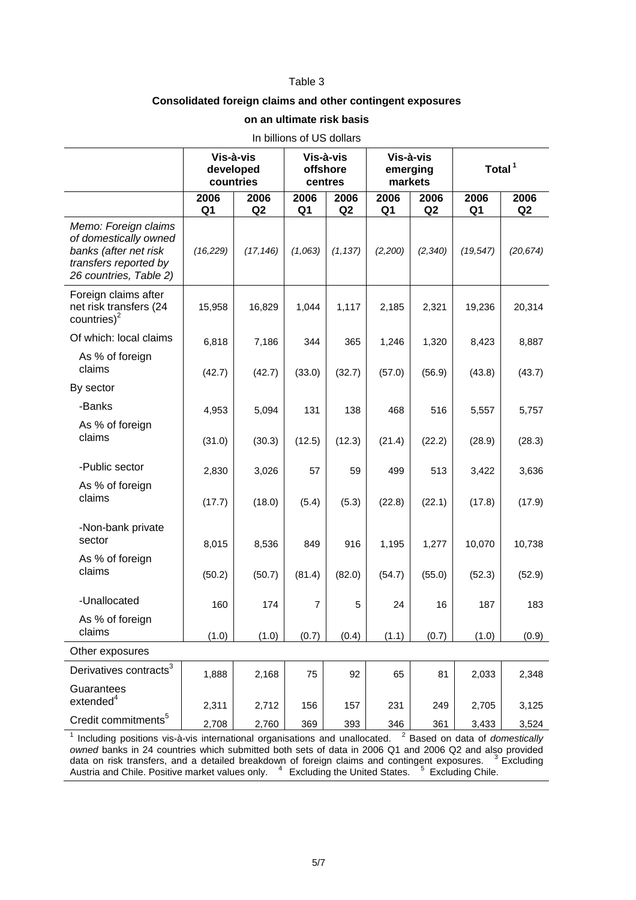#### Table 3

### **Consolidated foreign claims and other contingent exposures**

#### **on an ultimate risk basis**

| In billions of US dollars                                                                                                 |                                     |            |                                                           |                        |                        |                        |                        |            |
|---------------------------------------------------------------------------------------------------------------------------|-------------------------------------|------------|-----------------------------------------------------------|------------------------|------------------------|------------------------|------------------------|------------|
|                                                                                                                           | Vis-à-vis<br>developed<br>countries |            | Vis-à-vis<br>Vis-à-vis<br>offshore<br>emerging<br>centres |                        | markets                |                        | Total <sup>1</sup>     |            |
|                                                                                                                           | 2006<br>Q <sub>1</sub>              | 2006<br>Q2 | 2006<br>Q <sub>1</sub>                                    | 2006<br>Q <sub>2</sub> | 2006<br>Q <sub>1</sub> | 2006<br>Q <sub>2</sub> | 2006<br>Q <sub>1</sub> | 2006<br>Q2 |
| Memo: Foreign claims<br>of domestically owned<br>banks (after net risk<br>transfers reported by<br>26 countries, Table 2) | (16, 229)                           | (17, 146)  | (1,063)                                                   | (1, 137)               | (2,200)                | (2, 340)               | (19, 547)              | (20, 674)  |
| Foreign claims after<br>net risk transfers (24<br>countries) $2$                                                          | 15,958                              | 16,829     | 1,044                                                     | 1,117                  | 2,185                  | 2,321                  | 19,236                 | 20,314     |
| Of which: local claims                                                                                                    | 6,818                               | 7,186      | 344                                                       | 365                    | 1,246                  | 1,320                  | 8,423                  | 8,887      |
| As % of foreign<br>claims                                                                                                 | (42.7)                              | (42.7)     | (33.0)                                                    | (32.7)                 | (57.0)                 | (56.9)                 | (43.8)                 | (43.7)     |
| By sector                                                                                                                 |                                     |            |                                                           |                        |                        |                        |                        |            |
| -Banks                                                                                                                    | 4,953                               | 5,094      | 131                                                       | 138                    | 468                    | 516                    | 5,557                  | 5,757      |
| As % of foreign<br>claims                                                                                                 | (31.0)                              | (30.3)     | (12.5)                                                    | (12.3)                 | (21.4)                 | (22.2)                 | (28.9)                 | (28.3)     |
| -Public sector                                                                                                            | 2,830                               | 3,026      | 57                                                        | 59                     | 499                    | 513                    | 3,422                  | 3,636      |
| As % of foreign<br>claims                                                                                                 | (17.7)                              | (18.0)     | (5.4)                                                     | (5.3)                  | (22.8)                 | (22.1)                 | (17.8)                 | (17.9)     |
| -Non-bank private<br>sector                                                                                               | 8,015                               | 8,536      | 849                                                       | 916                    | 1,195                  | 1,277                  | 10,070                 | 10,738     |
| As % of foreign<br>claims                                                                                                 | (50.2)                              | (50.7)     | (81.4)                                                    | (82.0)                 | (54.7)                 | (55.0)                 | (52.3)                 | (52.9)     |
| -Unallocated                                                                                                              | 160                                 | 174        | $\overline{7}$                                            | 5                      | 24                     | 16                     | 187                    | 183        |
| As % of foreign<br>claims                                                                                                 | (1.0)                               | (1.0)      | (0.7)                                                     | (0.4)                  | (1.1)                  | (0.7)                  | (1.0)                  | (0.9)      |
| Other exposures                                                                                                           |                                     |            |                                                           |                        |                        |                        |                        |            |
| Derivatives contracts <sup>3</sup>                                                                                        | 1,888                               | 2,168      | 75                                                        | 92                     | 65                     | 81                     | 2,033                  | 2,348      |
| Guarantees<br>extended <sup>4</sup>                                                                                       | 2,311                               | 2,712      | 156                                                       | 157                    | 231                    | 249                    | 2,705                  | 3,125      |
| Credit commitments <sup>5</sup>                                                                                           | 2,708                               | 2,760      | 369                                                       | 393                    | 346                    | 361                    | 3,433                  | 3,524      |
| <sup>2</sup> Based on data of domestically<br>Including positions vis-à-vis international organisations and unallocated.  |                                     |            |                                                           |                        |                        |                        |                        |            |

*owned* banks in 24 countries which submitted both sets of data in 2006 Q1 and 2006 Q2 and also provided data on risk transfers, and a detailed breakdown of foreign claims and contingent exposures.3 Excluding Austria and Chile. Positive market values only. 4 Excluding the United States. <sup>5</sup> Excluding Chile.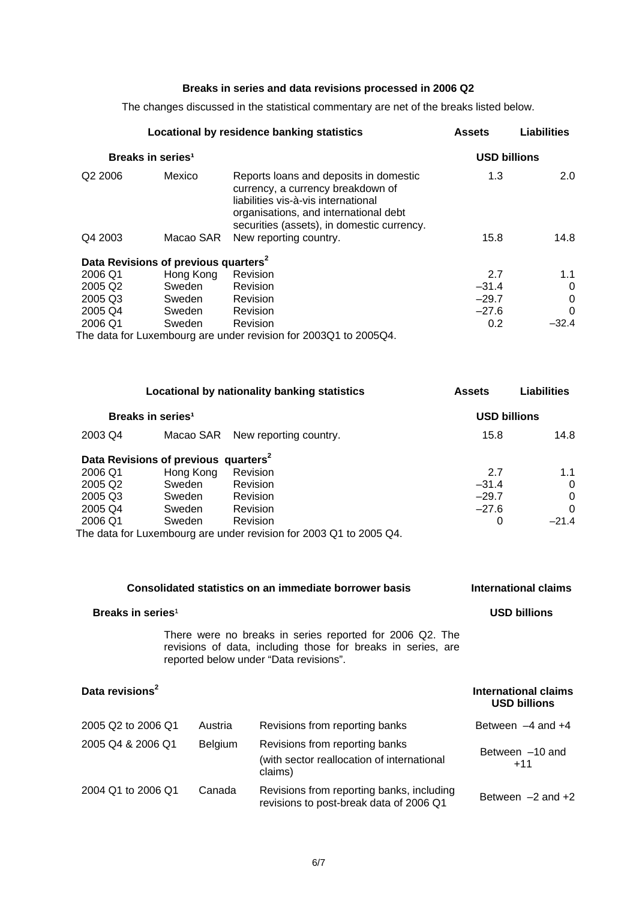### **Breaks in series and data revisions processed in 2006 Q2**

The changes discussed in the statistical commentary are net of the breaks listed below.

|                     | Locational by residence banking statistics       | <b>Assets</b>                                                                                                                                                                                             | Liabilities |         |
|---------------------|--------------------------------------------------|-----------------------------------------------------------------------------------------------------------------------------------------------------------------------------------------------------------|-------------|---------|
|                     | Breaks in series <sup>1</sup>                    | <b>USD billions</b>                                                                                                                                                                                       |             |         |
| Q <sub>2</sub> 2006 | Mexico                                           | Reports loans and deposits in domestic<br>currency, a currency breakdown of<br>liabilities vis-à-vis international<br>organisations, and international debt<br>securities (assets), in domestic currency. | 1.3         | 2.0     |
| Q4 2003             | Macao SAR                                        | New reporting country.                                                                                                                                                                                    | 15.8        | 14.8    |
|                     | Data Revisions of previous quarters <sup>2</sup> |                                                                                                                                                                                                           |             |         |
| 2006 Q1             | Hong Kong                                        | Revision                                                                                                                                                                                                  | 2.7         | 1.1     |
| 2005 Q <sub>2</sub> | Sweden                                           | Revision                                                                                                                                                                                                  | $-31.4$     | 0       |
| 2005 Q3             | Sweden                                           | Revision                                                                                                                                                                                                  | $-29.7$     | 0       |
| 2005 Q4             | Sweden                                           | Revision                                                                                                                                                                                                  | $-27.6$     | 0       |
| 2006 Q1             | Sweden                                           | Revision                                                                                                                                                                                                  | 0.2         | $-32.4$ |
|                     |                                                  | The data for Luxembeurg are under revision for 200201 to 200501                                                                                                                                           |             |         |

The data for Luxembourg are under revision for 2003Q1 to 2005Q4.

|                     | Locational by nationality banking statistics     | <b>Assets</b>                                                      | <b>Liabilities</b>  |              |
|---------------------|--------------------------------------------------|--------------------------------------------------------------------|---------------------|--------------|
|                     | Breaks in series <sup>1</sup>                    |                                                                    | <b>USD billions</b> |              |
| 2003 Q4             | Macao SAR                                        | New reporting country.                                             | 15.8                | 14.8         |
|                     | Data Revisions of previous quarters <sup>2</sup> |                                                                    |                     |              |
| 2006 Q1             | Hong Kong                                        | Revision                                                           | 2.7                 | 1.1          |
| 2005 Q <sub>2</sub> | Sweden                                           | <b>Revision</b>                                                    | $-31.4$             | $\mathbf{0}$ |
| 2005 Q3             | Sweden                                           | <b>Revision</b>                                                    | $-29.7$             | $\Omega$     |
| 2005 Q4             | Sweden                                           | <b>Revision</b>                                                    | $-27.6$             | $\Omega$     |
| 2006 Q1             | Sweden                                           | Revision                                                           | 0                   | $-21.4$      |
|                     |                                                  | The data for Luxembourg are under revision for 2003 Q1 to 2005 Q4. |                     |              |

| Consolidated statistics on an immediate borrower basis | International claims |                                                                                                                                                                    |                                             |
|--------------------------------------------------------|----------------------|--------------------------------------------------------------------------------------------------------------------------------------------------------------------|---------------------------------------------|
| Breaks in series <sup>1</sup>                          | <b>USD billions</b>  |                                                                                                                                                                    |                                             |
|                                                        |                      | There were no breaks in series reported for 2006 Q2. The<br>revisions of data, including those for breaks in series, are<br>reported below under "Data revisions". |                                             |
| Data revisions <sup>2</sup>                            |                      |                                                                                                                                                                    | International claims<br><b>USD billions</b> |
| 2005 Q2 to 2006 Q1                                     | Austria              | Revisions from reporting banks                                                                                                                                     | Between $-4$ and $+4$                       |
| 2005 Q4 & 2006 Q1                                      | <b>Belgium</b>       | Revisions from reporting banks<br>(with sector reallocation of international<br>claims)                                                                            | Between -10 and<br>$+11$                    |
| 2004 Q1 to 2006 Q1                                     | Canada               | Revisions from reporting banks, including<br>revisions to post-break data of 2006 Q1                                                                               | Between $-2$ and $+2$                       |